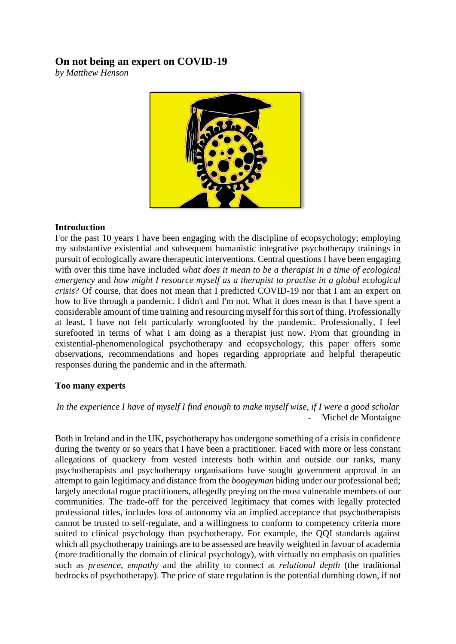# **On not being an expert on COVID-19**

*by Matthew Henson*



## **Introduction**

For the past 10 years I have been engaging with the discipline of ecopsychology; employing my substantive existential and subsequent humanistic integrative psychotherapy trainings in pursuit of ecologically aware therapeutic interventions. Central questions I have been engaging with over this time have included *what does it mean to be a therapist in a time of ecological emergency* and *how might I resource myself as a therapist to practise in a global ecological crisis*? Of course, that does not mean that I predicted COVID-19 nor that I am an expert on how to live through a pandemic. I didn't and I'm not. What it does mean is that I have spent a considerable amount of time training and resourcing myself for this sort of thing. Professionally at least, I have not felt particularly wrongfooted by the pandemic. Professionally, I feel surefooted in terms of what I am doing as a therapist just now. From that grounding in existential-phenomenological psychotherapy and ecopsychology, this paper offers some observations, recommendations and hopes regarding appropriate and helpful therapeutic responses during the pandemic and in the aftermath.

## **Too many experts**

*In the experience I have of myself I find enough to make myself wise, if I were a good scholar* Michel de Montaigne

Both in Ireland and in the UK, psychotherapy has undergone something of a crisis in confidence during the twenty or so years that I have been a practitioner. Faced with more or less constant allegations of quackery from vested interests both within and outside our ranks, many psychotherapists and psychotherapy organisations have sought government approval in an attempt to gain legitimacy and distance from the *boogeyman* hiding under our professional bed; largely anecdotal rogue practitioners, allegedly preying on the most vulnerable members of our communities. The trade-off for the perceived legitimacy that comes with legally protected professional titles, includes loss of autonomy via an implied acceptance that psychotherapists cannot be trusted to self-regulate, and a willingness to conform to competency criteria more suited to clinical psychology than psychotherapy. For example, the QQI standards against which all psychotherapy trainings are to be assessed are heavily weighted in favour of academia (more traditionally the domain of clinical psychology), with virtually no emphasis on qualities such as *presence*, *empathy* and the ability to connect at *relational depth* (the traditional bedrocks of psychotherapy). The price of state regulation is the potential dumbing down, if not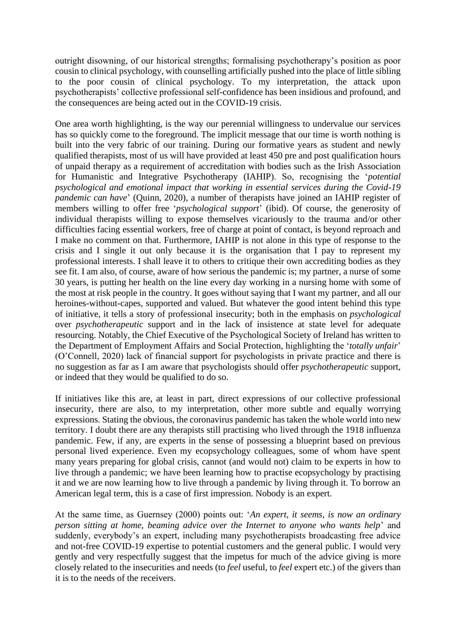outright disowning, of our historical strengths; formalising psychotherapy's position as poor cousin to clinical psychology, with counselling artificially pushed into the place of little sibling to the poor cousin of clinical psychology. To my interpretation, the attack upon psychotherapists' collective professional self-confidence has been insidious and profound, and the consequences are being acted out in the COVID-19 crisis.

One area worth highlighting, is the way our perennial willingness to undervalue our services has so quickly come to the foreground. The implicit message that our time is worth nothing is built into the very fabric of our training. During our formative years as student and newly qualified therapists, most of us will have provided at least 450 pre and post qualification hours of unpaid therapy as a requirement of accreditation with bodies such as the Irish Association for Humanistic and Integrative Psychotherapy (IAHIP). So, recognising the '*potential psychological and emotional impact that working in essential services during the Covid-19 pandemic can have*' (Quinn, 2020), a number of therapists have joined an IAHIP register of members willing to offer free '*psychological support*' (ibid). Of course, the generosity of individual therapists willing to expose themselves vicariously to the trauma and/or other difficulties facing essential workers, free of charge at point of contact, is beyond reproach and I make no comment on that. Furthermore, IAHIP is not alone in this type of response to the crisis and I single it out only because it is the organisation that I pay to represent my professional interests. I shall leave it to others to critique their own accrediting bodies as they see fit. I am also, of course, aware of how serious the pandemic is; my partner, a nurse of some 30 years, is putting her health on the line every day working in a nursing home with some of the most at risk people in the country. It goes without saying that I want my partner, and all our heroines-without-capes, supported and valued. But whatever the good intent behind this type of initiative, it tells a story of professional insecurity; both in the emphasis on *psychological* over *psychotherapeutic* support and in the lack of insistence at state level for adequate resourcing. Notably, the Chief Executive of the Psychological Society of Ireland has written to the Department of Employment Affairs and Social Protection, highlighting the '*totally unfair*' (O'Connell, 2020) lack of financial support for psychologists in private practice and there is no suggestion as far as I am aware that psychologists should offer *psychotherapeutic* support, or indeed that they would be qualified to do so.

If initiatives like this are, at least in part, direct expressions of our collective professional insecurity, there are also, to my interpretation, other more subtle and equally worrying expressions. Stating the obvious, the coronavirus pandemic has taken the whole world into new territory. I doubt there are any therapists still practising who lived through the 1918 influenza pandemic. Few, if any, are experts in the sense of possessing a blueprint based on previous personal lived experience. Even my ecopsychology colleagues, some of whom have spent many years preparing for global crisis, cannot (and would not) claim to be experts in how to live through a pandemic; we have been learning how to practise ecopsychology by practising it and we are now learning how to live through a pandemic by living through it. To borrow an American legal term, this is a case of first impression. Nobody is an expert.

At the same time, as Guernsey (2000) points out: '*An expert, it seems, is now an ordinary person sitting at home, beaming advice over the Internet to anyone who wants help*' and suddenly, everybody's an expert, including many psychotherapists broadcasting free advice and not-free COVID-19 expertise to potential customers and the general public. I would very gently and very respectfully suggest that the impetus for much of the advice giving is more closely related to the insecurities and needs (to *feel* useful, to *feel* expert etc.) of the givers than it is to the needs of the receivers.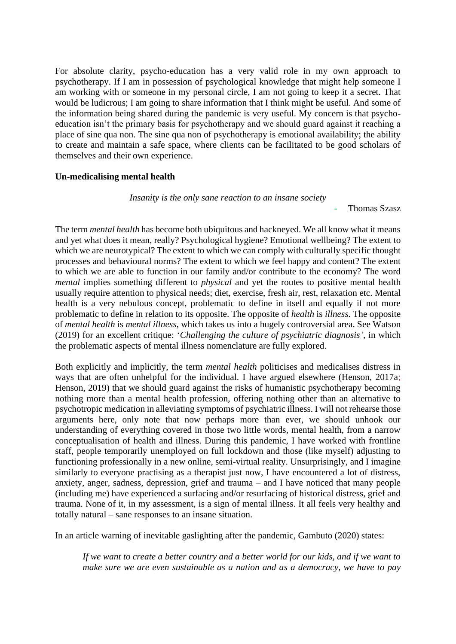For absolute clarity, psycho-education has a very valid role in my own approach to psychotherapy. If I am in possession of psychological knowledge that might help someone I am working with or someone in my personal circle, I am not going to keep it a secret. That would be ludicrous; I am going to share information that I think might be useful. And some of the information being shared during the pandemic is very useful. My concern is that psychoeducation isn't the primary basis for psychotherapy and we should guard against it reaching a place of sine qua non. The sine qua non of psychotherapy is emotional availability; the ability to create and maintain a safe space, where clients can be facilitated to be good scholars of themselves and their own experience.

### **Un-medicalising mental health**

#### *Insanity is the only sane reaction to an insane society*

Thomas Szasz

The term *mental health* has become both ubiquitous and hackneyed. We all know what it means and yet what does it mean, really? Psychological hygiene? Emotional wellbeing? The extent to which we are neurotypical? The extent to which we can comply with culturally specific thought processes and behavioural norms? The extent to which we feel happy and content? The extent to which we are able to function in our family and/or contribute to the economy? The word *mental* implies something different to *physical* and yet the routes to positive mental health usually require attention to physical needs; diet, exercise, fresh air, rest, relaxation etc. Mental health is a very nebulous concept, problematic to define in itself and equally if not more problematic to define in relation to its opposite. The opposite of *health* is *illness.* The opposite of *mental health* is *mental illness*, which takes us into a hugely controversial area. See Watson (2019) for an excellent critique: '*Challenging the culture of psychiatric diagnosis',* in which the problematic aspects of mental illness nomenclature are fully explored.

Both explicitly and implicitly, the term *mental health* politicises and medicalises distress in ways that are often unhelpful for the individual. I have argued elsewhere (Henson, 2017a; Henson, 2019) that we should guard against the risks of humanistic psychotherapy becoming nothing more than a mental health profession, offering nothing other than an alternative to psychotropic medication in alleviating symptoms of psychiatric illness. I will not rehearse those arguments here, only note that now perhaps more than ever, we should unhook our understanding of everything covered in those two little words, mental health, from a narrow conceptualisation of health and illness. During this pandemic, I have worked with frontline staff, people temporarily unemployed on full lockdown and those (like myself) adjusting to functioning professionally in a new online, semi-virtual reality. Unsurprisingly, and I imagine similarly to everyone practising as a therapist just now, I have encountered a lot of distress, anxiety, anger, sadness, depression, grief and trauma – and I have noticed that many people (including me) have experienced a surfacing and/or resurfacing of historical distress, grief and trauma. None of it, in my assessment, is a sign of mental illness. It all feels very healthy and totally natural – sane responses to an insane situation.

In an article warning of inevitable gaslighting after the pandemic, Gambuto (2020) states:

*If we want to create a better country and a better world for our kids, and if we want to make sure we are even sustainable as a nation and as a democracy, we have to pay*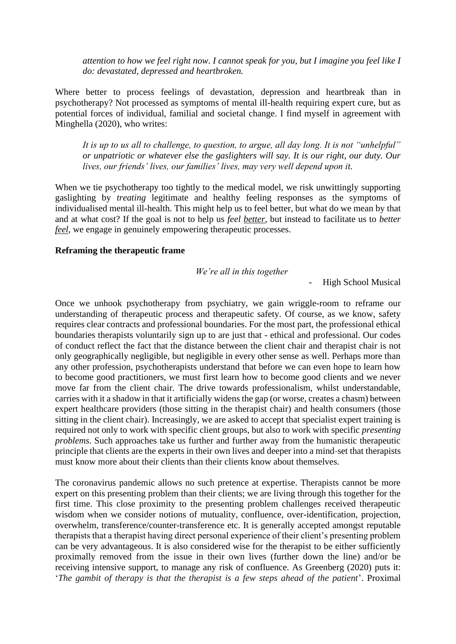*attention to how we feel right now. I cannot speak for you, but I imagine you feel like I do: devastated, depressed and heartbroken.*

Where better to process feelings of devastation, depression and heartbreak than in psychotherapy? Not processed as symptoms of mental ill-health requiring expert cure, but as potential forces of individual, familial and societal change. I find myself in agreement with Minghella (2020), who writes:

*It is up to us all to challenge, to question, to argue, all day long. It is not "unhelpful" or unpatriotic or whatever else the gaslighters will say. It is our right, our duty. Our lives, our friends' lives, our families' lives, may very well depend upon it.*

When we tie psychotherapy too tightly to the medical model, we risk unwittingly supporting gaslighting by *treating* legitimate and healthy feeling responses as the symptoms of individualised mental ill-health. This might help us to feel better, but what do we mean by that and at what cost? If the goal is not to help us *feel better*, but instead to facilitate us to *better feel*, we engage in genuinely empowering therapeutic processes.

#### **Reframing the therapeutic frame**

*We're all in this together*

- High School Musical

Once we unhook psychotherapy from psychiatry, we gain wriggle-room to reframe our understanding of therapeutic process and therapeutic safety. Of course, as we know, safety requires clear contracts and professional boundaries. For the most part, the professional ethical boundaries therapists voluntarily sign up to are just that - ethical and professional. Our codes of conduct reflect the fact that the distance between the client chair and therapist chair is not only geographically negligible, but negligible in every other sense as well. Perhaps more than any other profession, psychotherapists understand that before we can even hope to learn how to become good practitioners, we must first learn how to become good clients and we never move far from the client chair. The drive towards professionalism, whilst understandable, carries with it a shadow in that it artificially widens the gap (or worse, creates a chasm) between expert healthcare providers (those sitting in the therapist chair) and health consumers (those sitting in the client chair). Increasingly, we are asked to accept that specialist expert training is required not only to work with specific client groups, but also to work with specific *presenting problems*. Such approaches take us further and further away from the humanistic therapeutic principle that clients are the experts in their own lives and deeper into a mind-set that therapists must know more about their clients than their clients know about themselves.

The coronavirus pandemic allows no such pretence at expertise. Therapists cannot be more expert on this presenting problem than their clients; we are living through this together for the first time. This close proximity to the presenting problem challenges received therapeutic wisdom when we consider notions of mutuality, confluence, over-identification, projection, overwhelm, transference/counter-transference etc. It is generally accepted amongst reputable therapists that a therapist having direct personal experience of their client's presenting problem can be very advantageous. It is also considered wise for the therapist to be either sufficiently proximally removed from the issue in their own lives (further down the line) and/or be receiving intensive support, to manage any risk of confluence. As Greenberg (2020) puts it: '*The gambit of therapy is that the therapist is a few steps ahead of the patient*'. Proximal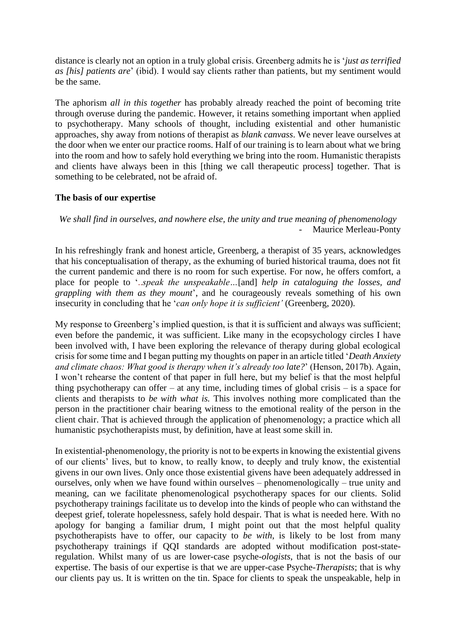distance is clearly not an option in a truly global crisis. Greenberg admits he is '*just as terrified as [his] patients are*' (ibid). I would say clients rather than patients, but my sentiment would be the same.

The aphorism *all in this together* has probably already reached the point of becoming trite through overuse during the pandemic. However, it retains something important when applied to psychotherapy. Many schools of thought, including existential and other humanistic approaches, shy away from notions of therapist as *blank canvass*. We never leave ourselves at the door when we enter our practice rooms. Half of our training is to learn about what we bring into the room and how to safely hold everything we bring into the room. Humanistic therapists and clients have always been in this [thing we call therapeutic process] together. That is something to be celebrated, not be afraid of.

#### **The basis of our expertise**

*We shall find in ourselves, and nowhere else, the unity and true meaning of phenomenology* Maurice Merleau-Ponty

In his refreshingly frank and honest article, Greenberg, a therapist of 35 years, acknowledges that his conceptualisation of therapy, as the exhuming of buried historical trauma, does not fit the current pandemic and there is no room for such expertise. For now, he offers comfort, a place for people to '..*speak the unspeakable…*[and] *help in cataloguing the losses, and grappling with them as they mount*', and he courageously reveals something of his own insecurity in concluding that he '*can only hope it is sufficient'* (Greenberg, 2020).

My response to Greenberg's implied question, is that it is sufficient and always was sufficient; even before the pandemic, it was sufficient. Like many in the ecopsychology circles I have been involved with, I have been exploring the relevance of therapy during global ecological crisis for some time and I began putting my thoughts on paper in an article titled '*Death Anxiety and climate chaos: What good is therapy when it's already too late?*' (Henson, 2017b). Again, I won't rehearse the content of that paper in full here, but my belief is that the most helpful thing psychotherapy can offer – at any time, including times of global crisis – is a space for clients and therapists to *be with what is.* This involves nothing more complicated than the person in the practitioner chair bearing witness to the emotional reality of the person in the client chair. That is achieved through the application of phenomenology; a practice which all humanistic psychotherapists must, by definition, have at least some skill in.

In existential-phenomenology, the priority is not to be experts in knowing the existential givens of our clients' lives, but to know, to really know, to deeply and truly know, the existential givens in our own lives. Only once those existential givens have been adequately addressed in ourselves, only when we have found within ourselves – phenomenologically – true unity and meaning, can we facilitate phenomenological psychotherapy spaces for our clients. Solid psychotherapy trainings facilitate us to develop into the kinds of people who can withstand the deepest grief, tolerate hopelessness, safely hold despair. That is what is needed here. With no apology for banging a familiar drum, I might point out that the most helpful quality psychotherapists have to offer, our capacity to *be with*, is likely to be lost from many psychotherapy trainings if QQI standards are adopted without modification post-stateregulation. Whilst many of us are lower-case psyche-*ologists*, that is not the basis of our expertise. The basis of our expertise is that we are upper-case Psyche-*Therapists*; that is why our clients pay us. It is written on the tin. Space for clients to speak the unspeakable, help in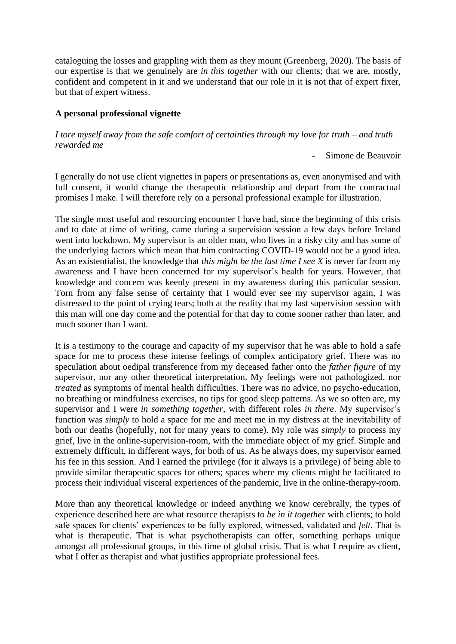cataloguing the losses and grappling with them as they mount (Greenberg, 2020). The basis of our expertise is that we genuinely are *in this together* with our clients; that we are, mostly, confident and competent in it and we understand that our role in it is not that of expert fixer, but that of expert witness.

## **A personal professional vignette**

*I tore myself away from the safe comfort of certainties through my love for truth – and truth rewarded me*

- Simone de Beauvoir

I generally do not use client vignettes in papers or presentations as, even anonymised and with full consent, it would change the therapeutic relationship and depart from the contractual promises I make. I will therefore rely on a personal professional example for illustration.

The single most useful and resourcing encounter I have had, since the beginning of this crisis and to date at time of writing, came during a supervision session a few days before Ireland went into lockdown. My supervisor is an older man, who lives in a risky city and has some of the underlying factors which mean that him contracting COVID-19 would not be a good idea. As an existentialist, the knowledge that *this might be the last time I see X* is never far from my awareness and I have been concerned for my supervisor's health for years. However, that knowledge and concern was keenly present in my awareness during this particular session. Torn from any false sense of certainty that I would ever see my supervisor again, I was distressed to the point of crying tears; both at the reality that my last supervision session with this man will one day come and the potential for that day to come sooner rather than later, and much sooner than I want.

It is a testimony to the courage and capacity of my supervisor that he was able to hold a safe space for me to process these intense feelings of complex anticipatory grief. There was no speculation about oedipal transference from my deceased father onto the *father figure* of my supervisor, nor any other theoretical interpretation. My feelings were not pathologized, nor *treated* as symptoms of mental health difficulties. There was no advice, no psycho-education, no breathing or mindfulness exercises, no tips for good sleep patterns. As we so often are, my supervisor and I were *in something together*, with different roles *in there*. My supervisor's function was *simply* to hold a space for me and meet me in my distress at the inevitability of both our deaths (hopefully, not for many years to come). My role was *simply* to process my grief, live in the online-supervision-room, with the immediate object of my grief. Simple and extremely difficult, in different ways, for both of us. As he always does, my supervisor earned his fee in this session. And I earned the privilege (for it always is a privilege) of being able to provide similar therapeutic spaces for others; spaces where my clients might be facilitated to process their individual visceral experiences of the pandemic, live in the online-therapy-room.

More than any theoretical knowledge or indeed anything we know cerebrally, the types of experience described here are what resource therapists to *be in it together* with clients; to hold safe spaces for clients' experiences to be fully explored, witnessed, validated and *felt*. That is what is therapeutic. That is what psychotherapists can offer, something perhaps unique amongst all professional groups, in this time of global crisis. That is what I require as client, what I offer as therapist and what justifies appropriate professional fees.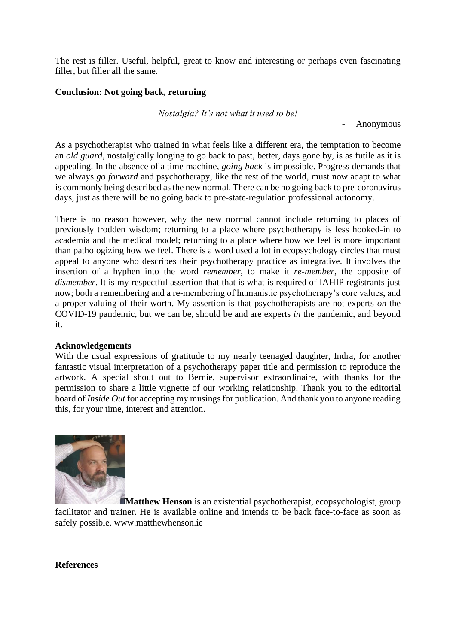The rest is filler. Useful, helpful, great to know and interesting or perhaps even fascinating filler, but filler all the same.

### **Conclusion: Not going back, returning**

*Nostalgia? It's not what it used to be!*

- Anonymous

As a psychotherapist who trained in what feels like a different era, the temptation to become an *old guard*, nostalgically longing to go back to past, better, days gone by, is as futile as it is appealing. In the absence of a time machine, *going back* is impossible. Progress demands that we always *go forward* and psychotherapy, like the rest of the world, must now adapt to what is commonly being described as the new normal. There can be no going back to pre-coronavirus days, just as there will be no going back to pre-state-regulation professional autonomy.

There is no reason however, why the new normal cannot include returning to places of previously trodden wisdom; returning to a place where psychotherapy is less hooked-in to academia and the medical model; returning to a place where how we feel is more important than pathologizing how we feel. There is a word used a lot in ecopsychology circles that must appeal to anyone who describes their psychotherapy practice as integrative. It involves the insertion of a hyphen into the word *remember*, to make it *re-member*, the opposite of *dismember*. It is my respectful assertion that that is what is required of IAHIP registrants just now; both a remembering and a re-membering of humanistic psychotherapy's core values, and a proper valuing of their worth. My assertion is that psychotherapists are not experts *on* the COVID-19 pandemic, but we can be, should be and are experts *in* the pandemic, and beyond it.

### **Acknowledgements**

With the usual expressions of gratitude to my nearly teenaged daughter, Indra, for another fantastic visual interpretation of a psychotherapy paper title and permission to reproduce the artwork. A special shout out to Bernie, supervisor extraordinaire, with thanks for the permission to share a little vignette of our working relationship. Thank you to the editorial board of *Inside Out* for accepting my musings for publication. And thank you to anyone reading this, for your time, interest and attention.



**Matthew Henson** is an existential psychotherapist, ecopsychologist, group facilitator and trainer. He is available online and intends to be back face-to-face as soon as safely possible. www.matthewhenson.ie

**References**